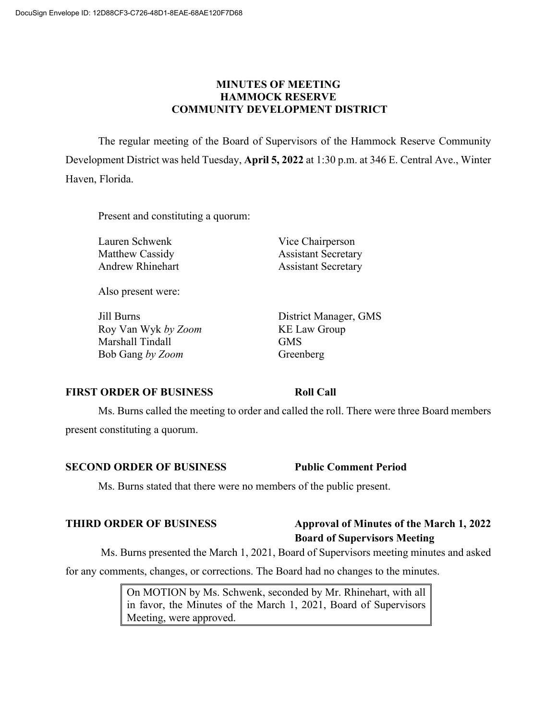## **MINUTES OF MEETING HAMMOCK RESERVE COMMUNITY DEVELOPMENT DISTRICT**

The regular meeting of the Board of Supervisors of the Hammock Reserve Community Development District was held Tuesday, **April 5, 2022** at 1:30 p.m. at 346 E. Central Ave., Winter Haven, Florida.

Present and constituting a quorum:

Lauren Schwenk Vice Chairperson Matthew Cassidy **Assistant Secretary** Andrew Rhinehart Assistant Secretary

Also present were:

Jill Burns District Manager, GMS Roy Van Wyk *by Zoom* KE Law Group Marshall Tindall GMS Bob Gang *by Zoom* Greenberg

## **FIRST ORDER OF BUSINESS Roll Call**

Ms. Burns called the meeting to order and called the roll. There were three Board members present constituting a quorum.

### **SECOND ORDER OF BUSINESS Public Comment Period**

Ms. Burns stated that there were no members of the public present.

## **THIRD ORDER OF BUSINESS Approval of Minutes of the March 1, 2022 Board of Supervisors Meeting**

Ms. Burns presented the March 1, 2021, Board of Supervisors meeting minutes and asked

for any comments, changes, or corrections. The Board had no changes to the minutes.

On MOTION by Ms. Schwenk, seconded by Mr. Rhinehart, with all in favor, the Minutes of the March 1, 2021, Board of Supervisors Meeting, were approved.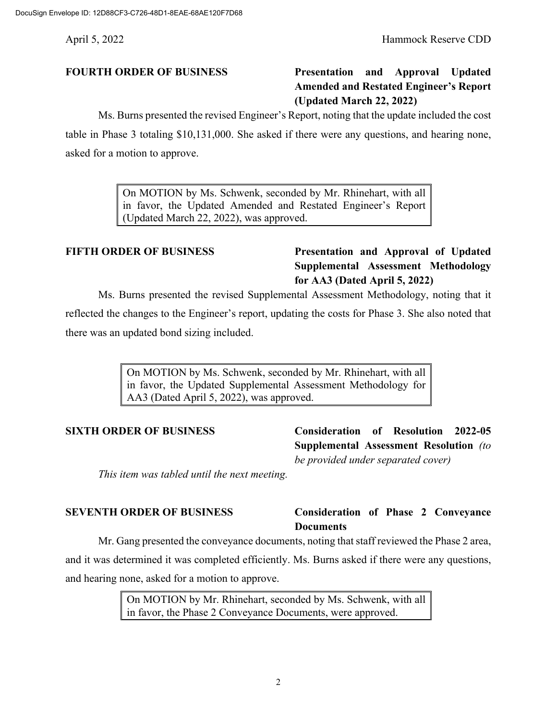# **FOURTH ORDER OF BUSINESS Presentation and Approval Updated Amended and Restated Engineer's Report (Updated March 22, 2022)**

Ms. Burns presented the revised Engineer's Report, noting that the update included the cost

table in Phase 3 totaling \$10,131,000. She asked if there were any questions, and hearing none, asked for a motion to approve.

> On MOTION by Ms. Schwenk, seconded by Mr. Rhinehart, with all in favor, the Updated Amended and Restated Engineer's Report (Updated March 22, 2022), was approved.

## **FIFTH ORDER OF BUSINESS Presentation and Approval of Updated Supplemental Assessment Methodology for AA3 (Dated April 5, 2022)**

Ms. Burns presented the revised Supplemental Assessment Methodology, noting that it reflected the changes to the Engineer's report, updating the costs for Phase 3. She also noted that there was an updated bond sizing included.

> On MOTION by Ms. Schwenk, seconded by Mr. Rhinehart, with all in favor, the Updated Supplemental Assessment Methodology for AA3 (Dated April 5, 2022), was approved.

**SIXTH ORDER OF BUSINESS Consideration of Resolution 2022-05 Supplemental Assessment Resolution** *(to be provided under separated cover)*

*This item was tabled until the next meeting.*

## **SEVENTH ORDER OF BUSINESS Consideration of Phase 2 Conveyance Documents**

Mr. Gang presented the conveyance documents, noting that staff reviewed the Phase 2 area, and it was determined it was completed efficiently. Ms. Burns asked if there were any questions, and hearing none, asked for a motion to approve.

> On MOTION by Mr. Rhinehart, seconded by Ms. Schwenk, with all in favor, the Phase 2 Conveyance Documents, were approved.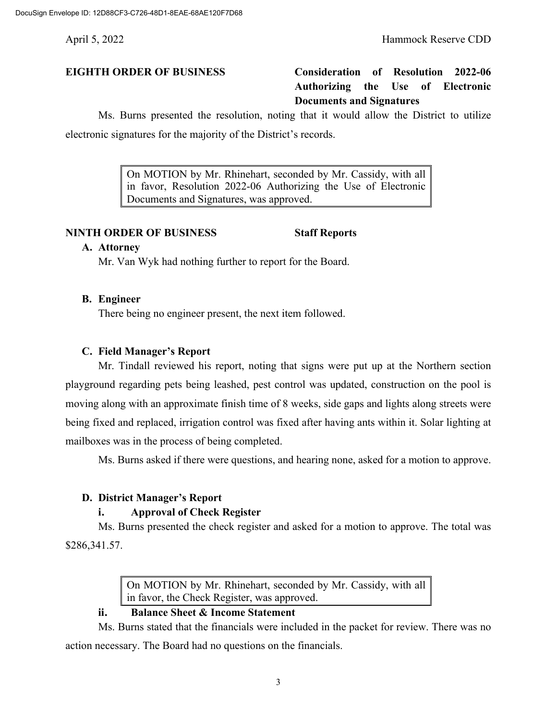## **EIGHTH ORDER OF BUSINESS Consideration of Resolution 2022-06 Authorizing the Use of Electronic Documents and Signatures**

Ms. Burns presented the resolution, noting that it would allow the District to utilize electronic signatures for the majority of the District's records.

> On MOTION by Mr. Rhinehart, seconded by Mr. Cassidy, with all in favor, Resolution 2022-06 Authorizing the Use of Electronic Documents and Signatures, was approved.

### **NINTH ORDER OF BUSINESS Staff Reports**

### **A. Attorney**

Mr. Van Wyk had nothing further to report for the Board.

**B. Engineer**

There being no engineer present, the next item followed.

### **C. Field Manager's Report**

Mr. Tindall reviewed his report, noting that signs were put up at the Northern section playground regarding pets being leashed, pest control was updated, construction on the pool is moving along with an approximate finish time of 8 weeks, side gaps and lights along streets were being fixed and replaced, irrigation control was fixed after having ants within it. Solar lighting at mailboxes was in the process of being completed.

Ms. Burns asked if there were questions, and hearing none, asked for a motion to approve.

## **D. District Manager's Report**

## **i. Approval of Check Register**

Ms. Burns presented the check register and asked for a motion to approve. The total was \$286,341.57.

> On MOTION by Mr. Rhinehart, seconded by Mr. Cassidy, with all in favor, the Check Register, was approved.

## **ii. Balance Sheet & Income Statement**

Ms. Burns stated that the financials were included in the packet for review. There was no action necessary. The Board had no questions on the financials.